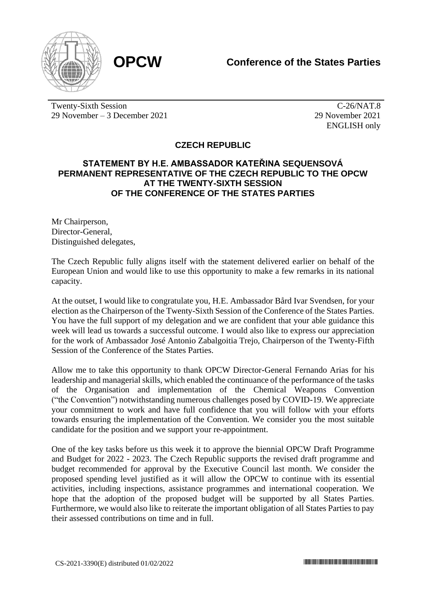

Twenty-Sixth Session 29 November – 3 December 2021

 $\overline{C-26}/NAT.8$ 29 November 2021 ENGLISH only

## **CZECH REPUBLIC**

## **STATEMENT BY H.E. AMBASSADOR KATEŘINA SEQUENSOVÁ PERMANENT REPRESENTATIVE OF THE CZECH REPUBLIC TO THE OPCW AT THE TWENTY-SIXTH SESSION OF THE CONFERENCE OF THE STATES PARTIES**

Mr Chairperson, Director-General, Distinguished delegates,

The Czech Republic fully aligns itself with the statement delivered earlier on behalf of the European Union and would like to use this opportunity to make a few remarks in its national capacity.

At the outset, I would like to congratulate you, H.E. Ambassador Bård Ivar Svendsen, for your election as the Chairperson of the Twenty-Sixth Session of the Conference of the States Parties. You have the full support of my delegation and we are confident that your able guidance this week will lead us towards a successful outcome. I would also like to express our appreciation for the work of Ambassador José Antonio Zabalgoitia Trejo, Chairperson of the Twenty-Fifth Session of the Conference of the States Parties.

Allow me to take this opportunity to thank OPCW Director-General Fernando Arias for his leadership and managerial skills, which enabled the continuance of the performance of the tasks of the Organisation and implementation of the Chemical Weapons Convention ("the Convention") notwithstanding numerous challenges posed by COVID-19. We appreciate your commitment to work and have full confidence that you will follow with your efforts towards ensuring the implementation of the Convention. We consider you the most suitable candidate for the position and we support your re-appointment.

One of the key tasks before us this week it to approve the biennial OPCW Draft Programme and Budget for 2022 - 2023. The Czech Republic supports the revised draft programme and budget recommended for approval by the Executive Council last month. We consider the proposed spending level justified as it will allow the OPCW to continue with its essential activities, including inspections, assistance programmes and international cooperation. We hope that the adoption of the proposed budget will be supported by all States Parties. Furthermore, we would also like to reiterate the important obligation of all States Parties to pay their assessed contributions on time and in full.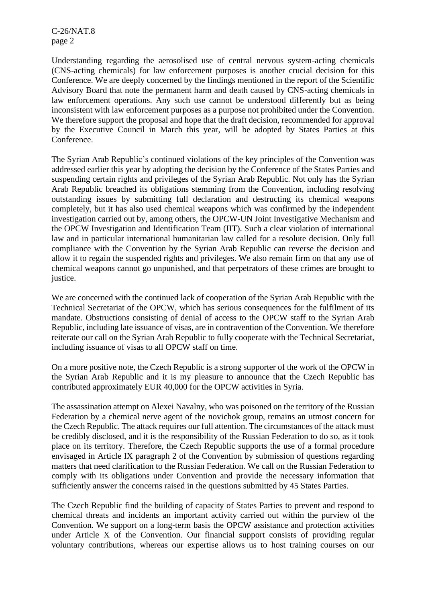C-26/NAT.8 page 2

Understanding regarding the aerosolised use of central nervous system-acting chemicals (CNS-acting chemicals) for law enforcement purposes is another crucial decision for this Conference. We are deeply concerned by the findings mentioned in the report of the Scientific Advisory Board that note the permanent harm and death caused by CNS-acting chemicals in law enforcement operations. Any such use cannot be understood differently but as being inconsistent with law enforcement purposes as a purpose not prohibited under the Convention. We therefore support the proposal and hope that the draft decision, recommended for approval by the Executive Council in March this year, will be adopted by States Parties at this Conference.

The Syrian Arab Republic's continued violations of the key principles of the Convention was addressed earlier this year by adopting the decision by the Conference of the States Parties and suspending certain rights and privileges of the Syrian Arab Republic. Not only has the Syrian Arab Republic breached its obligations stemming from the Convention, including resolving outstanding issues by submitting full declaration and destructing its chemical weapons completely, but it has also used chemical weapons which was confirmed by the independent investigation carried out by, among others, the OPCW-UN Joint Investigative Mechanism and the OPCW Investigation and Identification Team (IIT). Such a clear violation of international law and in particular international humanitarian law called for a resolute decision. Only full compliance with the Convention by the Syrian Arab Republic can reverse the decision and allow it to regain the suspended rights and privileges. We also remain firm on that any use of chemical weapons cannot go unpunished, and that perpetrators of these crimes are brought to justice.

We are concerned with the continued lack of cooperation of the Syrian Arab Republic with the Technical Secretariat of the OPCW, which has serious consequences for the fulfilment of its mandate. Obstructions consisting of denial of access to the OPCW staff to the Syrian Arab Republic, including late issuance of visas, are in contravention of the Convention. We therefore reiterate our call on the Syrian Arab Republic to fully cooperate with the Technical Secretariat, including issuance of visas to all OPCW staff on time.

On a more positive note, the Czech Republic is a strong supporter of the work of the OPCW in the Syrian Arab Republic and it is my pleasure to announce that the Czech Republic has contributed approximately EUR 40,000 for the OPCW activities in Syria.

The assassination attempt on Alexei Navalny, who was poisoned on the territory of the Russian Federation by a chemical nerve agent of the novichok group, remains an utmost concern for the Czech Republic. The attack requires our full attention. The circumstances of the attack must be credibly disclosed, and it is the responsibility of the Russian Federation to do so, as it took place on its territory. Therefore, the Czech Republic supports the use of a formal procedure envisaged in Article IX paragraph 2 of the Convention by submission of questions regarding matters that need clarification to the Russian Federation. We call on the Russian Federation to comply with its obligations under Convention and provide the necessary information that sufficiently answer the concerns raised in the questions submitted by 45 States Parties.

The Czech Republic find the building of capacity of States Parties to prevent and respond to chemical threats and incidents an important activity carried out within the purview of the Convention. We support on a long-term basis the OPCW assistance and protection activities under Article X of the Convention. Our financial support consists of providing regular voluntary contributions, whereas our expertise allows us to host training courses on our